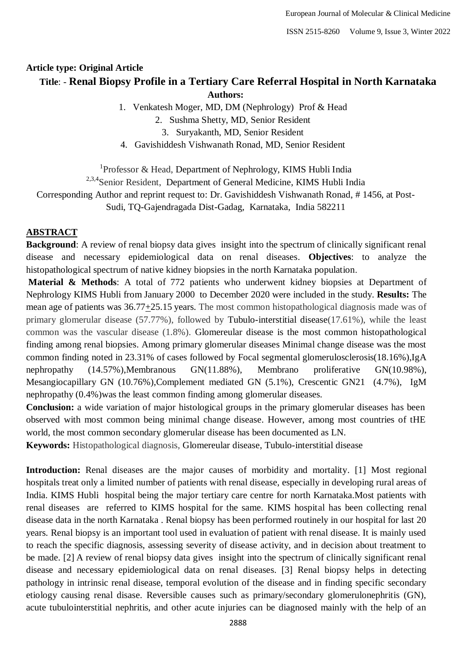ISSN 2515-8260 Volume 9, Issue 3, Winter 2022

# **Article type: Original Article Title**: - **Renal Biopsy Profile in a Tertiary Care Referral Hospital in North Karnataka Authors:**

1. Venkatesh Moger, MD, DM (Nephrology) Prof & Head

2. Sushma Shetty, MD, Senior Resident

3. Suryakanth, MD, Senior Resident

4. Gavishiddesh Vishwanath Ronad, MD, Senior Resident

<sup>1</sup>Professor & Head, Department of Nephrology, KIMS Hubli India <sup>2,3,4</sup>Senior Resident, Department of General Medicine, KIMS Hubli India Corresponding Author and reprint request to: Dr. Gavishiddesh Vishwanath Ronad, # 1456, at Post-Sudi, TQ-Gajendragada Dist-Gadag, Karnataka, India 582211

# **ABSTRACT**

**Background:** A review of renal biopsy data gives insight into the spectrum of clinically significant renal disease and necessary epidemiological data on renal diseases. **Objectives**: to analyze the histopathological spectrum of native kidney biopsies in the north Karnataka population.

**Material & Methods**: A total of 772 patients who underwent kidney biopsies at Department of Nephrology KIMS Hubli from January 2000 to December 2020 were included in the study. **Results:** The mean age of patients was 36.77+25.15 years. The most common histopathological diagnosis made was of primary glomerular disease (57.77%), followed by Tubulo-interstitial disease(17.61%), while the least common was the vascular disease (1.8%). Glomereular disease is the most common histopathological finding among renal biopsies. Among primary glomerular diseases Minimal change disease was the most common finding noted in 23.31% of cases followed by Focal segmental glomerulosclerosis(18.16%),IgA nephropathy (14.57%),Membranous GN(11.88%), Membrano proliferative GN(10.98%), Mesangiocapillary GN (10.76%),Complement mediated GN (5.1%), Crescentic GN21 (4.7%), IgM nephropathy (0.4%)was the least common finding among glomerular diseases.

**Conclusion:** a wide variation of major histological groups in the primary glomerular diseases has been observed with most common being minimal change disease. However, among most countries of tHE world, the most common secondary glomerular disease has been documented as LN.

**Keywords:** Histopathological diagnosis, Glomereular disease, Tubulo-interstitial disease

**Introduction:** Renal diseases are the major causes of morbidity and mortality. [1] Most regional hospitals treat only a limited number of patients with renal disease, especially in developing rural areas of India. KIMS Hubli hospital being the major tertiary care centre for north Karnataka.Most patients with renal diseases are referred to KIMS hospital for the same. KIMS hospital has been collecting renal disease data in the north Karnataka . Renal biopsy has been performed routinely in our hospital for last 20 years. Renal biopsy is an important tool used in evaluation of patient with renal disease. It is mainly used to reach the specific diagnosis, assessing severity of disease activity, and in decision about treatment to be made. [2] A review of renal biopsy data gives insight into the spectrum of clinically significant renal disease and necessary epidemiological data on renal diseases. [3] Renal biopsy helps in detecting pathology in intrinsic renal disease, temporal evolution of the disease and in finding specific secondary etiology causing renal disase. Reversible causes such as primary/secondary glomerulonephritis (GN), acute tubulointerstitial nephritis, and other acute injuries can be diagnosed mainly with the help of an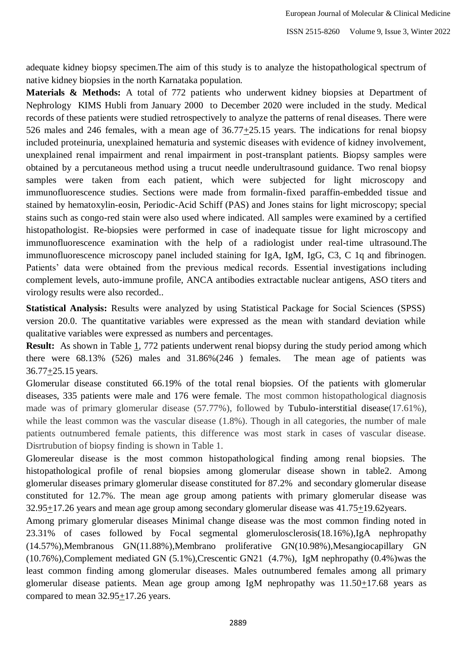adequate kidney biopsy specimen.The aim of this study is to analyze the histopathological spectrum of native kidney biopsies in the north Karnataka population.

**Materials & Methods:** A total of 772 patients who underwent kidney biopsies at Department of Nephrology KIMS Hubli from January 2000 to December 2020 were included in the study. Medical records of these patients were studied retrospectively to analyze the patterns of renal diseases. There were 526 males and 246 females, with a mean age of 36.77+25.15 years. The indications for renal biopsy included proteinuria, unexplained hematuria and systemic diseases with evidence of kidney involvement, unexplained renal impairment and renal impairment in post-transplant patients. Biopsy samples were obtained by a percutaneous method using a trucut needle underultrasound guidance. Two renal biopsy samples were taken from each patient, which were subjected for light microscopy and immunofluorescence studies. Sections were made from formalin-fixed paraffin-embedded tissue and stained by hematoxylin-eosin, Periodic-Acid Schiff (PAS) and Jones stains for light microscopy; special stains such as congo-red stain were also used where indicated. All samples were examined by a certified histopathologist. Re-biopsies were performed in case of inadequate tissue for light microscopy and immunofluorescence examination with the help of a radiologist under real-time ultrasound.The immunofluorescence microscopy panel included staining for IgA, IgM, IgG, C3, C 1q and fibrinogen. Patients' data were obtained from the previous medical records. Essential investigations including complement levels, auto-immune profile, ANCA antibodies extractable nuclear antigens, ASO titers and virology results were also recorded..

**Statistical Analysis:** Results were analyzed by using Statistical Package for Social Sciences (SPSS) version 20.0. The quantitative variables were expressed as the mean with standard deviation while qualitative variables were expressed as numbers and percentages.

**Result:** As shown in Table [1,](https://ejim.springeropen.com/articles/10.1186/s43162-020-00021-0#Tab1) 772 patients underwent renal biopsy during the study period among which there were 68.13% (526) males and 31.86%(246 ) females. The mean age of patients was 36.77+25.15 years.

Glomerular disease constituted 66.19% of the total renal biopsies. Of the patients with glomerular diseases, 335 patients were male and 176 were female. The most common histopathological diagnosis made was of primary glomerular disease (57.77%), followed by Tubulo-interstitial disease(17.61%), while the least common was the vascular disease (1.8%). Though in all categories, the number of male patients outnumbered female patients, this difference was most stark in cases of vascular disease. Disrtrubution of biopsy finding is shown in Table 1.

Glomereular disease is the most common histopathological finding among renal biopsies. The histopathological profile of renal biopsies among glomerular disease shown in table2. Among glomerular diseases primary glomerular disease constituted for 87.2% and secondary glomerular disease constituted for 12.7%. The mean age group among patients with primary glomerular disease was 32.95+17.26 years and mean age group among secondary glomerular disease was 41.75+19.62years.

Among primary glomerular diseases Minimal change disease was the most common finding noted in 23.31% of cases followed by Focal segmental glomerulosclerosis(18.16%),IgA nephropathy (14.57%),Membranous GN(11.88%),Membrano proliferative GN(10.98%),Mesangiocapillary GN (10.76%),Complement mediated GN (5.1%),Crescentic GN21 (4.7%), IgM nephropathy (0.4%)was the least common finding among glomerular diseases. Males outnumbered females among all primary glomerular disease patients. Mean age group among IgM nephropathy was 11.50+17.68 years as compared to mean 32.95+17.26 years.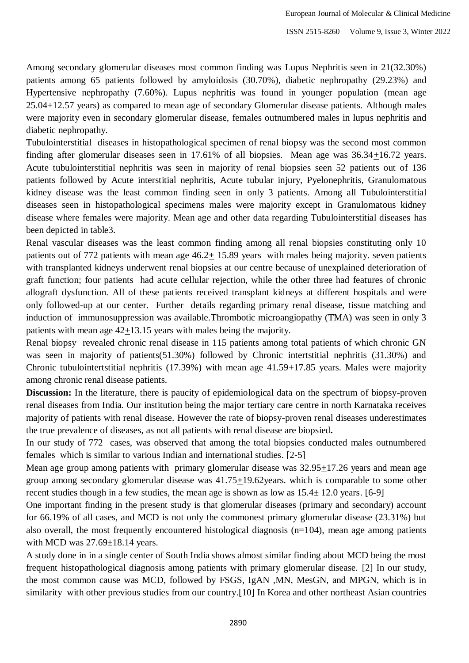Among secondary glomerular diseases most common finding was Lupus Nephritis seen in 21(32.30%) patients among 65 patients followed by amyloidosis (30.70%), diabetic nephropathy (29.23%) and Hypertensive nephropathy (7.60%). Lupus nephritis was found in younger population (mean age 25.04+12.57 years) as compared to mean age of secondary Glomerular disease patients. Although males were majority even in secondary glomerular disease, females outnumbered males in lupus nephritis and diabetic nephropathy.

Tubulointerstitial diseases in histopathological specimen of renal biopsy was the second most common finding after glomerular diseases seen in 17.61% of all biopsies. Mean age was 36.34+16.72 years. Acute tubulointerstitial nephritis was seen in majority of renal biopsies seen 52 patients out of 136 patients followed by Acute interstitial nephritis, Acute tubular injury, Pyelonephritis, Granulomatous kidney disease was the least common finding seen in only 3 patients. Among all Tubulointerstitial diseases seen in histopathological specimens males were majority except in Granulomatous kidney disease where females were majority. Mean age and other data regarding Tubulointerstitial diseases has been depicted in table3.

Renal vascular diseases was the least common finding among all renal biopsies constituting only 10 patients out of 772 patients with mean age 46.2+ 15.89 years with males being majority. seven patients with transplanted kidneys underwent renal biopsies at our centre because of unexplained deterioration of graft function; four patients had acute cellular rejection, while the other three had features of chronic allograft dysfunction. All of these patients received transplant kidneys at different hospitals and were only followed-up at our center. Further details regarding primary renal disease, tissue matching and induction of immunosuppression was available.Thrombotic microangiopathy (TMA) was seen in only 3 patients with mean age  $42+13.15$  years with males being the majority.

Renal biopsy revealed chronic renal disease in 115 patients among total patients of which chronic GN was seen in majority of patients(51.30%) followed by Chronic intertstitial nephritis (31.30%) and Chronic tubulointertstitial nephritis (17.39%) with mean age 41.59+17.85 years. Males were majority among chronic renal disease patients.

**Discussion:** In the literature, there is paucity of epidemiological data on the spectrum of biopsy-proven renal diseases from India. Our institution being the major tertiary care centre in north Karnataka receives majority of patients with renal disease. However the rate of biopsy-proven renal diseases underestimates the true prevalence of diseases, as not all patients with renal disease are biopsied**.**

In our study of 772 cases, was observed that among the total biopsies conducted males outnumbered females which is similar to various Indian and international studies. [2-5]

Mean age group among patients with primary glomerular disease was 32.95+17.26 years and mean age group among secondary glomerular disease was 41.75+19.62years. which is comparable to some other recent studies though in a few studies, the mean age is shown as low as  $15.4 \pm 12.0$  years. [6-9]

One important finding in the present study is that glomerular diseases (primary and secondary) account for 66.19% of all cases, and MCD is not only the commonest primary glomerular disease (23.31%) but also overall, the most frequently encountered histological diagnosis  $(n=104)$ , mean age among patients with MCD was 27.69±18.14 years.

A study done in in a single center of South India shows almost similar finding about MCD being the most frequent histopathological diagnosis among patients with primary glomerular disease. [2] In our study, the most common cause was MCD, followed by FSGS, IgAN ,MN, MesGN, and MPGN, which is in similarity with other previous studies from our country.[10] In Korea and other northeast Asian countries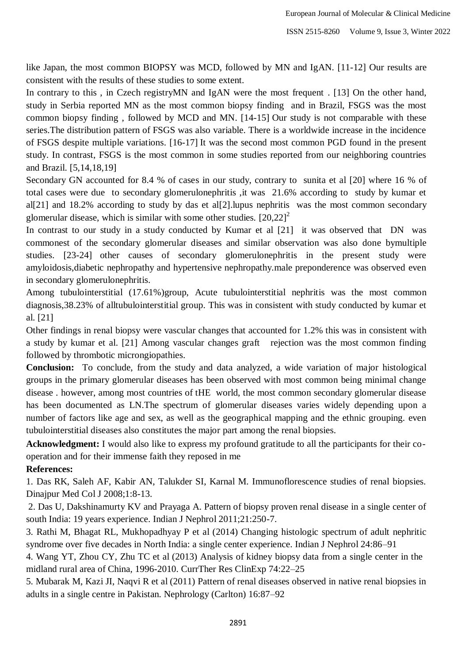like Japan, the most common BIOPSY was MCD, followed by MN and IgAN. [11-12] Our results are consistent with the results of these studies to some extent.

In contrary to this, in Czech registryMN and IgAN were the most frequent . [13] On the other hand, study in Serbia reported MN as the most common biopsy finding and in Brazil, FSGS was the most common biopsy finding , followed by MCD and MN. [14-15] Our study is not comparable with these series.The distribution pattern of FSGS was also variable. There is a worldwide increase in the incidence of FSGS despite multiple variations. [16-17] It was the second most common PGD found in the present study. In contrast, FSGS is the most common in some studies reported from our neighboring countries and Brazil. [5,14,18,19]

Secondary GN accounted for 8.4 % of cases in our study, contrary to sunita et al [20] where 16 % of total cases were due to secondary glomerulonephritis ,it was 21.6% according to study by kumar et al[21] and 18.2% according to study by das et al[2].lupus nephritis was the most common secondary glomerular disease, which is similar with some other studies.  $[20,22]$ <sup>2</sup>

In contrast to our study in a study conducted by Kumar et al [21] it was observed that DN was commonest of the secondary glomerular diseases and similar observation was also done bymultiple studies. [23-24] other causes of secondary glomerulonephritis in the present study were amyloidosis,diabetic nephropathy and hypertensive nephropathy.male preponderence was observed even in secondary glomerulonephritis.

Among tubulointerstitial (17.61%)group, Acute tubulointerstitial nephritis was the most common diagnosis,38.23% of alltubulointerstitial group. This was in consistent with study conducted by kumar et al. [21]

Other findings in renal biopsy were vascular changes that accounted for 1.2% this was in consistent with a study by kumar et al. [21] Among vascular changes graft rejection was the most common finding followed by thrombotic microngiopathies.

**Conclusion:** To conclude, from the study and data analyzed, a wide variation of major histological groups in the primary glomerular diseases has been observed with most common being minimal change disease . however, among most countries of tHE world, the most common secondary glomerular disease has been documented as LN.The spectrum of glomerular diseases varies widely depending upon a number of factors like age and sex, as well as the geographical mapping and the ethnic grouping. even tubulointerstitial diseases also constitutes the major part among the renal biopsies.

**Acknowledgment:** I would also like to express my profound gratitude to all the participants for their cooperation and for their immense faith they reposed in me

## **References:**

1. Das RK, Saleh AF, Kabir AN, Talukder SI, Karnal M. Immunoflorescence studies of renal biopsies. Dinajpur Med Col J 2008;1:8-13.

2. Das U, Dakshinamurty KV and Prayaga A. Pattern of biopsy proven renal disease in a single center of south India: 19 years experience. Indian J Nephrol 2011;21:250-7.

3. Rathi M, Bhagat RL, Mukhopadhyay P et al (2014) Changing histologic spectrum of adult nephritic syndrome over five decades in North India: a single center experience. Indian J Nephrol 24:86–91

4. Wang YT, Zhou CY, Zhu TC et al (2013) Analysis of kidney biopsy data from a single center in the midland rural area of China, 1996-2010. CurrTher Res ClinExp 74:22–25

5. Mubarak M, Kazi JI, Naqvi R et al (2011) Pattern of renal diseases observed in native renal biopsies in adults in a single centre in Pakistan. Nephrology (Carlton) 16:87–92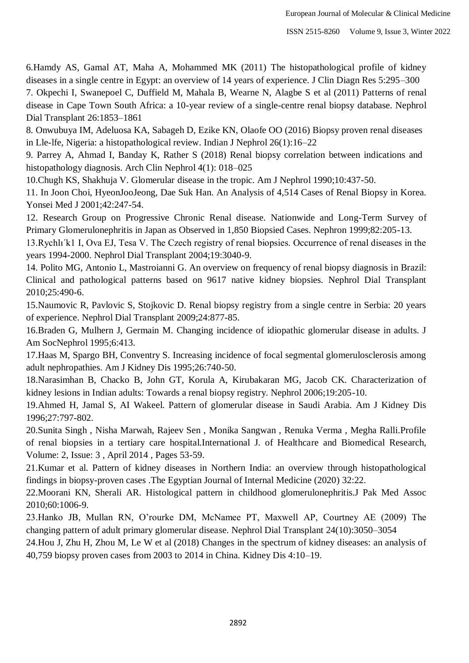6.Hamdy AS, Gamal AT, Maha A, Mohammed MK (2011) The histopathological profile of kidney diseases in a single centre in Egypt: an overview of 14 years of experience. J Clin Diagn Res 5:295–300

7. Okpechi I, Swanepoel C, Duffield M, Mahala B, Wearne N, Alagbe S et al (2011) Patterns of renal disease in Cape Town South Africa: a 10-year review of a single-centre renal biopsy database. Nephrol Dial Transplant 26:1853–1861

8. Onwubuya IM, Adeluosa KA, Sabageh D, Ezike KN, Olaofe OO (2016) Biopsy proven renal diseases in Lle-lfe, Nigeria: a histopathological review. Indian J Nephrol 26(1):16–22

9. Parrey A, Ahmad I, Banday K, Rather S (2018) Renal biopsy correlation between indications and histopathology diagnosis. Arch Clin Nephrol 4(1): 018–025

10.Chugh KS, Shakhuja V. Glomerular disease in the tropic. Am J Nephrol 1990;10:437-50.

11. In Joon Choi, HyeonJooJeong, Dae Suk Han. An Analysis of 4,514 Cases of Renal Biopsy in Korea. Yonsei Med J 2001;42:247-54.

12. Research Group on Progressive Chronic Renal disease. Nationwide and Long-Term Survey of Primary Glomerulonephritis in Japan as Observed in 1,850 Biopsied Cases. Nephron 1999;82:205-13.

13.Rychlı´k1 I, Ova EJ, Tesa V. The Czech registry of renal biopsies. Occurrence of renal diseases in the years 1994-2000. Nephrol Dial Transplant 2004;19:3040-9.

14. Polito MG, Antonio L, Mastroianni G. An overview on frequency of renal biopsy diagnosis in Brazil: Clinical and pathological patterns based on 9617 native kidney biopsies. Nephrol Dial Transplant 2010;25:490-6.

15.Naumovic R, Pavlovic S, Stojkovic D. Renal biopsy registry from a single centre in Serbia: 20 years of experience. Nephrol Dial Transplant 2009;24:877-85.

16.Braden G, Mulhern J, Germain M. Changing incidence of idiopathic glomerular disease in adults. J Am SocNephrol 1995;6:413.

17.Haas M, Spargo BH, Conventry S. Increasing incidence of focal segmental glomerulosclerosis among adult nephropathies. Am J Kidney Dis 1995;26:740-50.

18.Narasimhan B, Chacko B, John GT, Korula A, Kirubakaran MG, Jacob CK. Characterization of kidney lesions in Indian adults: Towards a renal biopsy registry. Nephrol 2006;19:205-10.

19.Ahmed H, Jamal S, AI Wakeel. Pattern of glomerular disease in Saudi Arabia. Am J Kidney Dis 1996;27:797-802.

20.Sunita Singh , Nisha Marwah, Rajeev Sen , Monika Sangwan , Renuka Verma , Megha Ralli.Profile of renal biopsies in a tertiary care hospital.International J. of Healthcare and Biomedical Research, Volume: 2, Issue: 3 , April 2014 , Pages 53-59.

21.Kumar et al. Pattern of kidney diseases in Northern India: an overview through histopathological findings in biopsy-proven cases .The Egyptian Journal of Internal Medicine (2020) 32:22.

22.Moorani KN, Sherali AR. Histological pattern in childhood glomerulonephritis.J Pak Med Assoc 2010;60:1006-9.

23.Hanko JB, Mullan RN, O'rourke DM, McNamee PT, Maxwell AP, Courtney AE (2009) The changing pattern of adult primary glomerular disease. Nephrol Dial Transplant 24(10):3050–3054

24.Hou J, Zhu H, Zhou M, Le W et al (2018) Changes in the spectrum of kidney diseases: an analysis of 40,759 biopsy proven cases from 2003 to 2014 in China. Kidney Dis 4:10–19.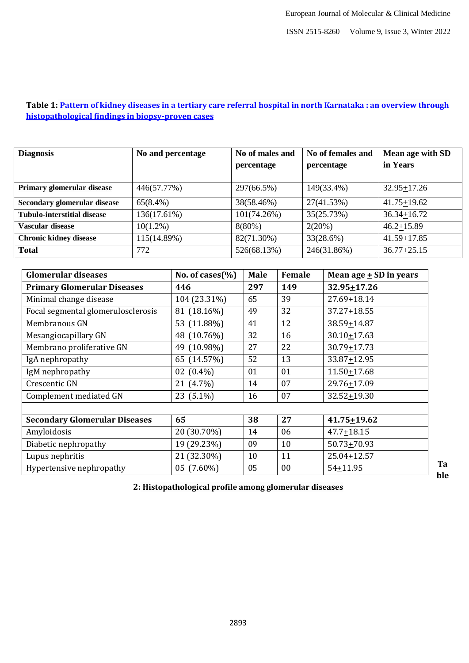### **Table 1: [Pattern of kidney diseases in a tertiary care referral hospital in north Karnataka : an overview through](https://ejim.springeropen.com/articles/10.1186/s43162-020-00021-0)  [histopathological findings in biopsy-proven cases](https://ejim.springeropen.com/articles/10.1186/s43162-020-00021-0)**

| <b>Diagnosis</b>                   | No and percentage | No of males and<br>percentage | No of females and<br>percentage | Mean age with SD<br>in Years |
|------------------------------------|-------------------|-------------------------------|---------------------------------|------------------------------|
| Primary glomerular disease         | 446(57.77%)       | 297(66.5%)                    | 149(33.4%)                      | $32.95 + 17.26$              |
| Secondary glomerular disease       | 65(8.4%)          | 38(58.46%)                    | 27(41.53%)                      | $41.75 + 19.62$              |
| <b>Tubulo-interstitial disease</b> | 136(17.61%)       | 101(74.26%)                   | 35(25.73%)                      | $36.34 + 16.72$              |
| Vascular disease                   | $10(1.2\%)$       | $8(80\%)$                     | 2(20%)                          | $46.2 + 15.89$               |
| <b>Chronic kidney disease</b>      | 115(14.89%)       | 82(71.30%)                    | 33(28.6%)                       | $41.59 + 17.85$              |
| <b>Total</b>                       | 772               | 526(68.13%)                   | 246(31.86%)                     | $36.77 + 25.15$              |

| <b>Glomerular diseases</b>           | No. of cases $(\% )$ | <b>Male</b> | Female | Mean age $\pm$ SD in years |
|--------------------------------------|----------------------|-------------|--------|----------------------------|
| <b>Primary Glomerular Diseases</b>   | 446                  | 297         | 149    | $32.95 + 17.26$            |
| Minimal change disease               | 104 (23.31%)         | 65          | 39     | $27.69 + 18.14$            |
| Focal segmental glomerulosclerosis   | 81 (18.16%)          | 49          | 32     | 37.27+18.55                |
| Membranous GN                        | 53 (11.88%)          | 41          | 12     | 38.59+14.87                |
| Mesangiocapillary GN                 | 48 (10.76%)          | 32          | 16     | $30.10 + 17.63$            |
| Membrano proliferative GN            | 49 (10.98%)          | 27          | 22     | $30.79 + 17.73$            |
| IgA nephropathy                      | 65 (14.57%)          | 52          | 13     | 33.87+12.95                |
| IgM nephropathy                      | 02 $(0.4\%)$         | 01          | 01     | $11.50 + 17.68$            |
| Crescentic GN                        | 21 (4.7%)            | 14          | 07     | 29.76+17.09                |
| Complement mediated GN               | 23 (5.1%)            | 16          | 07     | 32.52+19.30                |
|                                      |                      |             |        |                            |
| <b>Secondary Glomerular Diseases</b> | 65                   | 38          | 27     | $41.75 + 19.62$            |
| Amyloidosis                          | 20 (30.70%)          | 14          | 06     | 47.7+18.15                 |
| Diabetic nephropathy                 | 19 (29.23%)          | 09          | 10     | $50.73 + 70.93$            |
| Lupus nephritis                      | 21 (32.30%)          | 10          | 11     | $25.04 \pm 12.57$          |
| Hypertensive nephropathy             | 05 (7.60%)           | 05          | 00     | 54+11.95                   |

**2: Histopathological profile among glomerular diseases**